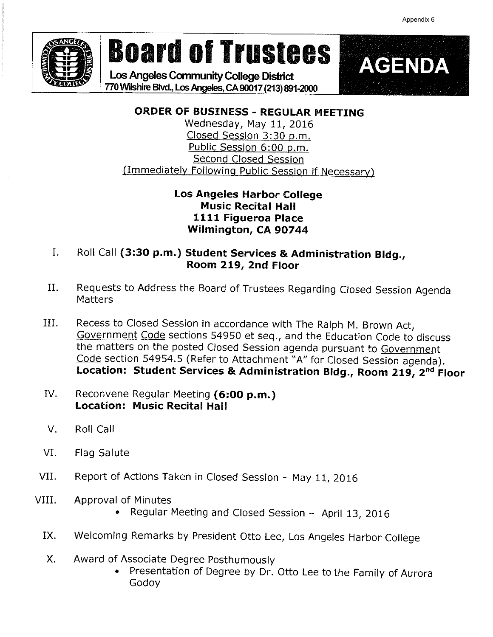

# Board of Trustees | AGENDA

Los Angeles Community College District TZOWilshirc Bh/d., Los Angeles, CA 90017 (213) 891-2000



## ORDER OF BUSINESS - REGULAR MEETING

Wednesday, May 11, 2016 Closed Session 3:30 p.m. Public Session 6:00 p.m. Second Closed Session (Immediately Following Public Session if Necessary)

#### Los Angeles Harbor College Music Recital Hall 1111 Figueroa Place Wilmington, CA 90744

- I. Roll Call (3:30 p.m.) Student Services & Administration Bldg., Room 219, 2nd Floor
- II. Requests to Address the Board of Trustees Regarding Closed Session Agenda Matters
- III. Recess to Closed Session in accordance with The Ralph M. Brown Act. Government Code sections 54950 et seq., and the Education Code to discuss the matters on the posted Closed Session agenda pursuant to Government Code section 54954.5 (Refer to Attachment "A" for Closed Session agenda). Location: Student Services & Administration Bldg., Room 219, 2<sup>nd</sup> Floor
- IV. Reconvene Regular Meeting (6:00 p.m.) Location: Music Recital Hall
- V. Roll Call
- VI. Flag Salute
- VII. Report of Actions Taken in Closed Session May 11, 2016
- VIII. Approval of Minutes
	- . Regular Meeting and Closed Session April 13, 2016
	- IX. Welcoming Remarks by President Otto Lee, Los Angeles Harbor College
	- X. Award of Associate Degree Posthumously
		- . Presentation of Degree by Dr. Otto Lee to the Family of Aurora Godoy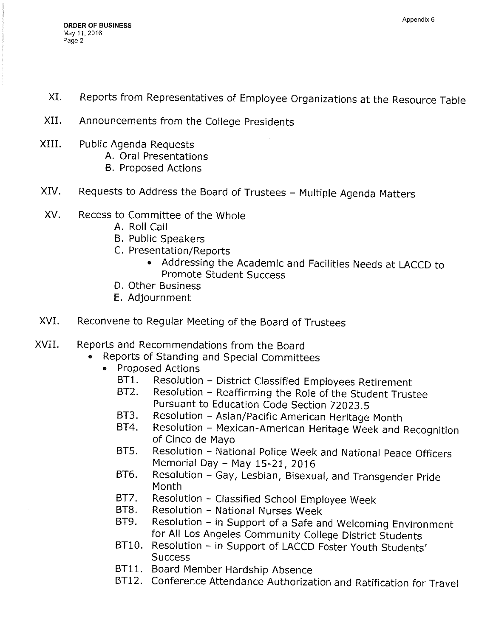- XI. Reports from Representatives of Employee Organizations at the Resource Table
- XII. Announcements from the College Presidents
- XIII. Public Agenda Requests A. Oral Presentations
	- B. Proposed Actions
- XIV. Requests to Address the Board of Trustees Multiple Agenda Matters
- XV. Recess to Committee of the Whole
	- A. Roll Call
	- B. Public Speakers
	- C. Presentation/Reports
		- . Addressing the Academic and Facilities Needs at LACCD to Promote Student Success
	- D. Other Business
	- E. Adjournment
- XVI. Reconvene to Regular Meeting of the Board of Trustees
- XVII. Reports and Recommendations from the Board
	- . Reports of Standing and Special Committees
	- » Proposed Actions
		- BT1. Resolution District Classified Employees Retirement<br>BT2. Resolution Reaffirming the Role of the Student Trust
		- Resolution Reaffirming the Role of the Student Trustee Pursuant to Education Code Section 72023.5
		- BT3. Resolution Asian/Pacific American Heritage Month<br>BT4. Resolution Mexican-American Heritage Week and
		- Resolution Mexican-American Heritage Week and Recognition of Cinco de Mayo
		- BT5. Resolution National Police Week and National Peace Officers Memoriai Day - May 15-21, 2016
		- BT6. Resolution Gay, Lesbian, Bisexual, and Transgender Pride Month
		- BT7. Resolution Classified School Employee Week<br>BT8. Resolution National Nurses Week
		- Resolution National Nurses Week
		- BT9. Resolution in Support of a Safe and Welcoming Environment for All Los Angeles Community College District Students
		- BT10. Resolution in Support of LACCD Foster Youth Students' **Success**
		- BT11. Board Member Hardship Absence
		- BT12. Conference Attendance Authorization and Ratification for Travel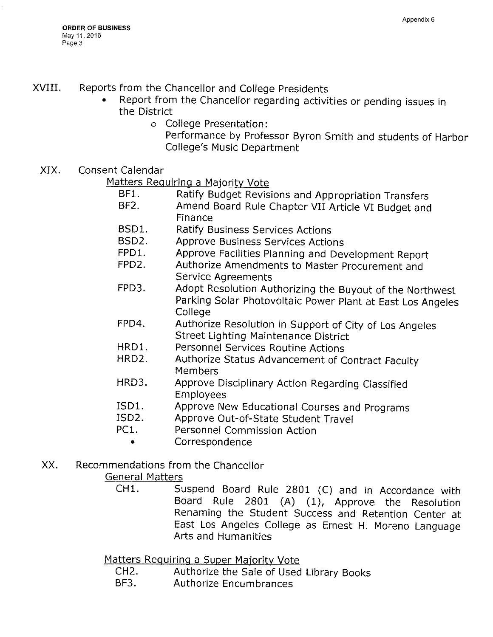### XVIII. Reports from the Chancellor and College Presidents

- » Report from the Chancellor regarding activities or pending issues in the District
	- o College Presentation:
		- Performance by Professor Byron Smith and students of Harbor College's Music Department
- XIX. Consent Calendar

Matters Requiring a Majority Vote

- BF1. Ratify Budget Revisions and Appropriation Transfers<br>BF2. Amend Board Rule Chanter VII Article VI Budget and
- Amend Board Rule Chapter VII Article VI Budget and Finance
- BSD1. Ratify Business Services Actions
- BSD2. Approve Business Services Actions
- FPD1. Approve Facilities Planning and Development Report<br>FPD2. Authorize Amendments to Master Procurement and
- Authorize Amendments to Master Procurement and Service Agreements
- FPD3. Adopt Resolution Authorizing the Buyout of the Northwest Parking Solar Photovoltaic Power Plant at East Los Angeles **College**
- FPD4. Authorize Resolution in Support of City of Los Angeles Street Lighting Maintenance District
- HRD1. Personnel Services Routine Actions
- HRD2. Authorize Status Advancement of Contract Faculty Members
- HRD3. Approve Disciplinary Action Regarding Classified Employees
- ISD1. Approve New Educational Courses and Programs<br>ISD2. Approve Out-of-State Student Travel
- Approve Out-of-State Student Travel
- PC1. Personnel Commission Action
	- Correspondence
- XX. Recommendations from the Chancellor

General Matters

CH1. Suspend Board Rule 2801 (C) and in Accordance with Board Rule 2801 (A) (1), Approve the Resolution Renaming the Student Success and Retention Center at East Los Angeles College as Ernest H. Moreno Language Arts and Humanities

Matters Requiring a Super Majority Vote

- CH2. Authorize the Sale of Used Library Books<br>BF3. Authorize Encumbrances
- Authorize Encumbrances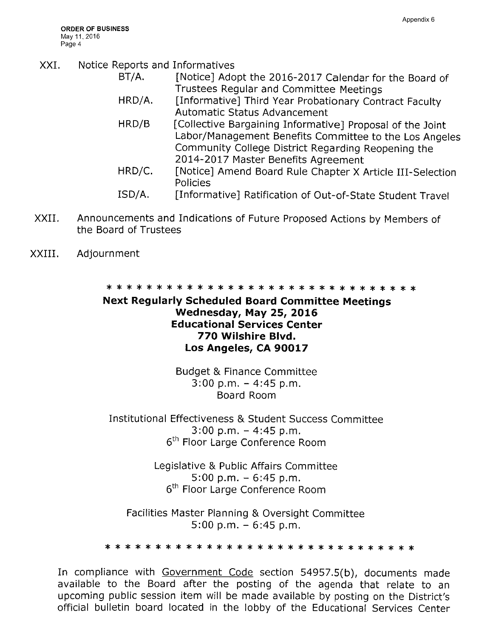- XXI. Notice Reports and Informatives
	- BT/A. [Notice] Adopt the 2016-2017 Calendar for the Board of Trustees Regular and Committee Meetings
	- HRD/A. [Informative] Third Year Probationary Contract Faculty Automatic Status Advancement
	- HRD/B [Collective Bargaining Informative] Proposal of the Joint Labor/Management Benefits Committee to the Los Angeles Community College District Regarding Reopening the 2014-2017 Master Benefits Agreement
	- HRD/C. [Notice] Amend Board Rule Chapter X Article III-Selection Policies
	- ISD/A. [Informative] Ratification of Out-of-State Student Travel
- XXII. Announcements and Indications of Future Proposed Actions by Members of the Board of Trustees
- XXIII, Adjournment

"^j^ "^^^ \*^^" ^^^ ^^" ^^' \* ^ \* \* 31; \* \* \* \* \* \* ^^s- ^^" "^T^" "^1^ \*^T^ \* \* \* \* \* \* \* \* \*

#### Next Regularly Scheduled Board Committee Meetings Wednesday, May 25, 2016 Educational Services Center 770 Wilshire Blvd. Los Angeles, CA 90017

Budget & Finance Committee  $3:00$  p.m.  $-4:45$  p.m. Board Room

Institutional Effectiveness & Student Success Committee  $3:00$  p.m.  $-4:45$  p.m. 6<sup>th</sup> Floor Large Conference Room

> Legislative & Public Affairs Committee  $5:00$  p.m.  $-6:45$  p.m. 6<sup>th</sup> Floor Large Conference Room

Facilities Master Planning & Oversight Committee  $5:00$  p.m.  $-6:45$  p.m.

\* ^ \* \* \*: \* \* \* \* \* \* \* \* ^ \* \* \* it; \* \* \* \* \* \* \* \*: \* \* \* \* \*

In compliance with Government Code section 54957.5(b), documents made available to the Board after the posting of the agenda that relate to an upcoming public session item will be made available by posting on the District's official bulletin board located in the lobby of the Educational Services Center